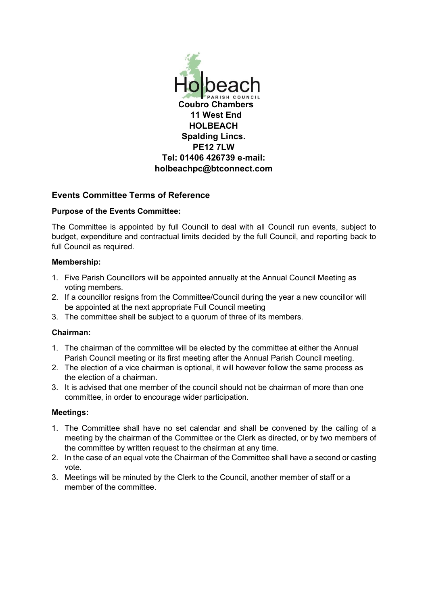

# **Events Committee Terms of Reference**

### **Purpose of the Events Committee:**

The Committee is appointed by full Council to deal with all Council run events, subject to budget, expenditure and contractual limits decided by the full Council, and reporting back to full Council as required.

### **Membership:**

- 1. Five Parish Councillors will be appointed annually at the Annual Council Meeting as voting members.
- 2. If a councillor resigns from the Committee/Council during the year a new councillor will be appointed at the next appropriate Full Council meeting
- 3. The committee shall be subject to a quorum of three of its members.

## **Chairman:**

- 1. The chairman of the committee will be elected by the committee at either the Annual Parish Council meeting or its first meeting after the Annual Parish Council meeting.
- 2. The election of a vice chairman is optional, it will however follow the same process as the election of a chairman.
- 3. It is advised that one member of the council should not be chairman of more than one committee, in order to encourage wider participation.

### **Meetings:**

- 1. The Committee shall have no set calendar and shall be convened by the calling of a meeting by the chairman of the Committee or the Clerk as directed, or by two members of the committee by written request to the chairman at any time.
- 2. In the case of an equal vote the Chairman of the Committee shall have a second or casting vote.
- 3. Meetings will be minuted by the Clerk to the Council, another member of staff or a member of the committee.